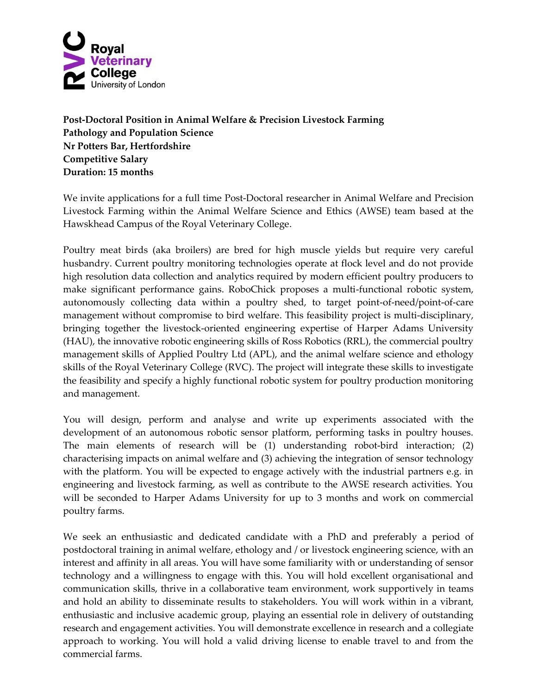

**Post-Doctoral Position in Animal Welfare & Precision Livestock Farming Pathology and Population Science Nr Potters Bar, Hertfordshire Competitive Salary Duration: 15 months**

We invite applications for a full time Post-Doctoral researcher in Animal Welfare and Precision Livestock Farming within the Animal Welfare Science and Ethics (AWSE) team based at the Hawskhead Campus of the Royal Veterinary College.

Poultry meat birds (aka broilers) are bred for high muscle yields but require very careful husbandry. Current poultry monitoring technologies operate at flock level and do not provide high resolution data collection and analytics required by modern efficient poultry producers to make significant performance gains. RoboChick proposes a multi-functional robotic system, autonomously collecting data within a poultry shed, to target point-of-need/point-of-care management without compromise to bird welfare. This feasibility project is multi-disciplinary, bringing together the livestock-oriented engineering expertise of Harper Adams University (HAU), the innovative robotic engineering skills of Ross Robotics (RRL), the commercial poultry management skills of Applied Poultry Ltd (APL), and the animal welfare science and ethology skills of the Royal Veterinary College (RVC). The project will integrate these skills to investigate the feasibility and specify a highly functional robotic system for poultry production monitoring and management.

You will design, perform and analyse and write up experiments associated with the development of an autonomous robotic sensor platform, performing tasks in poultry houses. The main elements of research will be (1) understanding robot-bird interaction; (2) characterising impacts on animal welfare and (3) achieving the integration of sensor technology with the platform. You will be expected to engage actively with the industrial partners e.g. in engineering and livestock farming, as well as contribute to the AWSE research activities. You will be seconded to Harper Adams University for up to 3 months and work on commercial poultry farms.

We seek an enthusiastic and dedicated candidate with a PhD and preferably a period of postdoctoral training in animal welfare, ethology and / or livestock engineering science, with an interest and affinity in all areas. You will have some familiarity with or understanding of sensor technology and a willingness to engage with this. You will hold excellent organisational and communication skills, thrive in a collaborative team environment, work supportively in teams and hold an ability to disseminate results to stakeholders. You will work within in a vibrant, enthusiastic and inclusive academic group, playing an essential role in delivery of outstanding research and engagement activities. You will demonstrate excellence in research and a collegiate approach to working. You will hold a valid driving license to enable travel to and from the commercial farms.